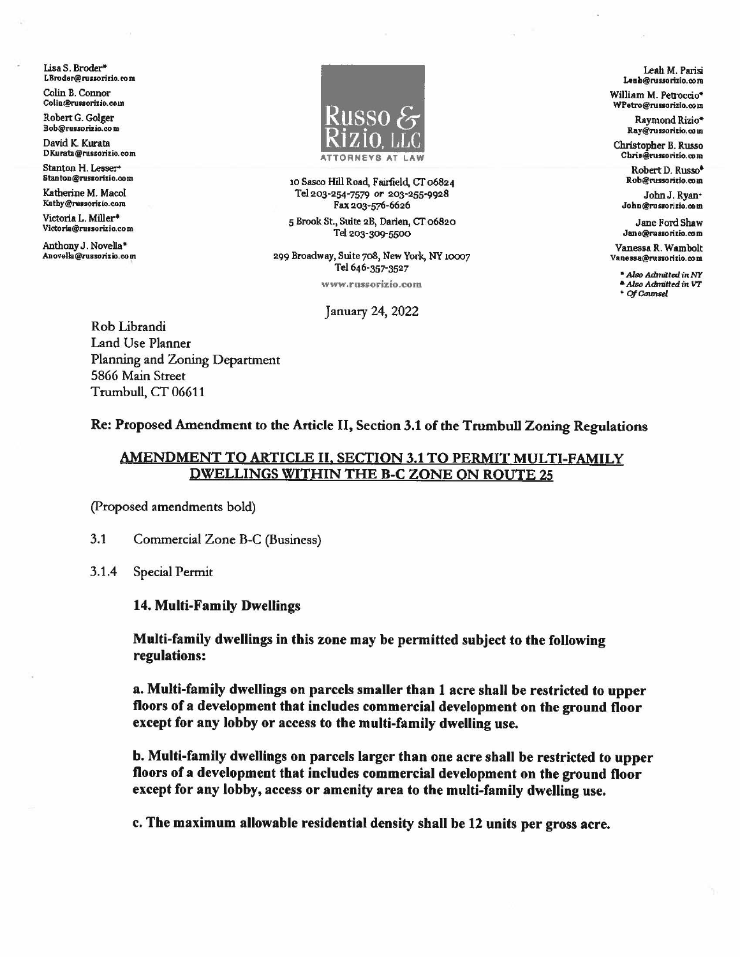Lisa S. Broder\* LBroder@russorizio.com

Colin B. Connor Colin@russorizio.com

Robert G. Golger Bob@russorizio.com

David K. Kurata DKurata@russorizio.com

Stanton H. Lesser+ staoton@nusoritlo.oom

Katherine M. Macol Kathy@russorizio.com

Victoria L. Miller• Victoria@russorizio.com

Anthony J. Novella\*<br>Anovella@russorizio.com



10 Sasco Hill Road, Fairfield, CT 06824 Tel 203-254-7579 *or* 203-255-9928 Fax 203-576-6626

5 Brook St., Suite 2B, Darien, CT 06820 Tel 203-309-5500

299 Broadway, Suite 708, New York, NY 10007 Tel 646-357-3527

**www .russorizio.com** 

January 24, 2022

Rob Librandi Land Use Planner Planning and Zoning Department 5866 Main Street Trumbull, CT 06611

Leah M. Parisi Leah@russorizio.com

William M. Petroccio\* WPetro@russorizio.com

> Raymond Rizio• Ray@russorizio.com

Christopher B. Russo<br>Chris@russoritio.com

Robert D. Russo• Rob@russorizio.com

JohnJ. Ryan• John@russorizio.com

Jane Ford Shaw Jane@russorizio.com

Vanessa R. Wambolt Vanessa@russorizio.com

• Also *Admilted* in NY *•AisoAdmittedin VT* • *OfCaun,;d.* 

Re: Proposed Amendment to the Article II, Section 3.1 of the Trumbull Zoning Regulations

## AMENDMENT TO ARTICLE II, SECTION 3.1 TO PERMIT MULTI-FAMILY DWELLINGS WITHIN THE B-C ZONE ON ROUTE 25

(Proposed amendments bold)

- 3.1 Commercial Zone B-C (Business)
- 3.1.4 Special Permit

14. Multi-Family Dwellings

Multi-family dwellings in this zone may be permitted subject to the following regulations:

a. Multi-family dwellings on parcels smaller than 1 acre shall be restricted to upper floors of a development that includes commercial development on the ground floor except for any lobby or access to the multi-family dwelling use.

b. Multi-family dwellings on parcels larger than one acre shall be restricted to upper floors of a development that includes commercial development on the ground floor except for any lobby, access or amenity area to the multi-family dwelling use.

c. The maximum allowable residential density shall be 12 units per gross acre.